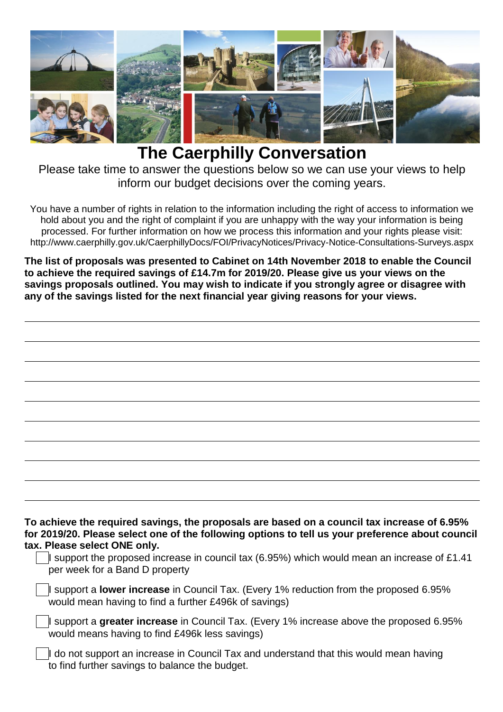

## **The Caerphilly Conversation**

Please take time to answer the questions below so we can use your views to help inform our budget decisions over the coming years.

You have a number of rights in relation to the information including the right of access to information we hold about you and the right of complaint if you are unhappy with the way your information is being processed. For further information on how we process this information and your rights please visit: http://www.caerphilly.gov.uk/CaerphillyDocs/FOI/PrivacyNotices/Privacy-Notice-Consultations-Surveys.aspx

**The list of proposals was presented to Cabinet on 14th November 2018 to enable the Council to achieve the required savings of £14.7m for 2019/20. Please give us your views on the savings proposals outlined. You may wish to indicate if you strongly agree or disagree with any of the savings listed for the next financial year giving reasons for your views.**

| To achieve the required savings, the proposals are based on a council tax increase of 6.95%<br>for 2019/20. Please select one of the following options to tell us your preference about council<br>tax. Please select ONE only. |  |
|---------------------------------------------------------------------------------------------------------------------------------------------------------------------------------------------------------------------------------|--|
| support the proposed increase in council tax (6.95%) which would mean an increase of £1.41<br>per week for a Band D property                                                                                                    |  |
| I support a lower increase in Council Tax. (Every 1% reduction from the proposed 6.95%<br>would mean having to find a further £496k of savings)                                                                                 |  |
| I support a greater increase in Council Tax. (Every 1% increase above the proposed 6.95%<br>would means having to find £496k less savings)                                                                                      |  |
| I do not support an increase in Council Tax and understand that this would mean having<br>to find further savings to balance the budget.                                                                                        |  |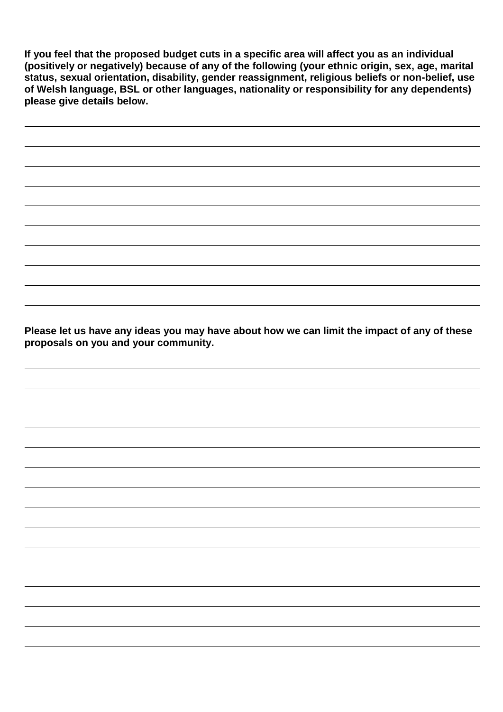**If you feel that the proposed budget cuts in a specific area will affect you as an individual (positively or negatively) because of any of the following (your ethnic origin, sex, age, marital status, sexual orientation, disability, gender reassignment, religious beliefs or non-belief, use of Welsh language, BSL or other languages, nationality or responsibility for any dependents) please give details below.** 

**Please let us have any ideas you may have about how we can limit the impact of any of these proposals on you and your community.**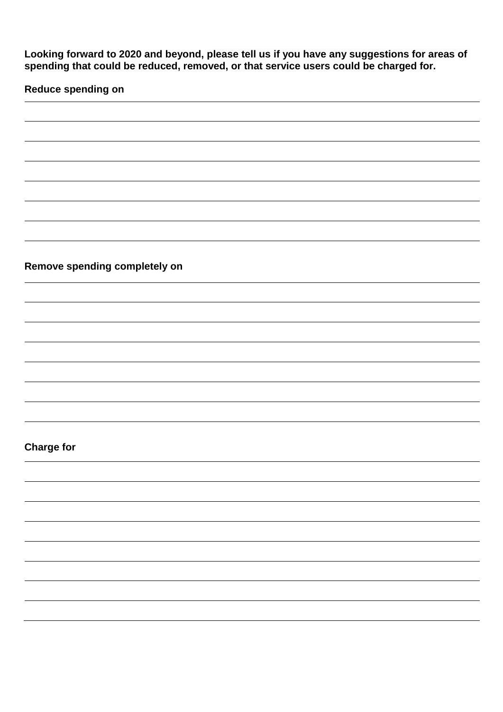**Looking forward to 2020 and beyond, please tell us if you have any suggestions for areas of spending that could be reduced, removed, or that service users could be charged for.**

**Reduce spending on**

**Remove spending completely on**

## **Charge for**